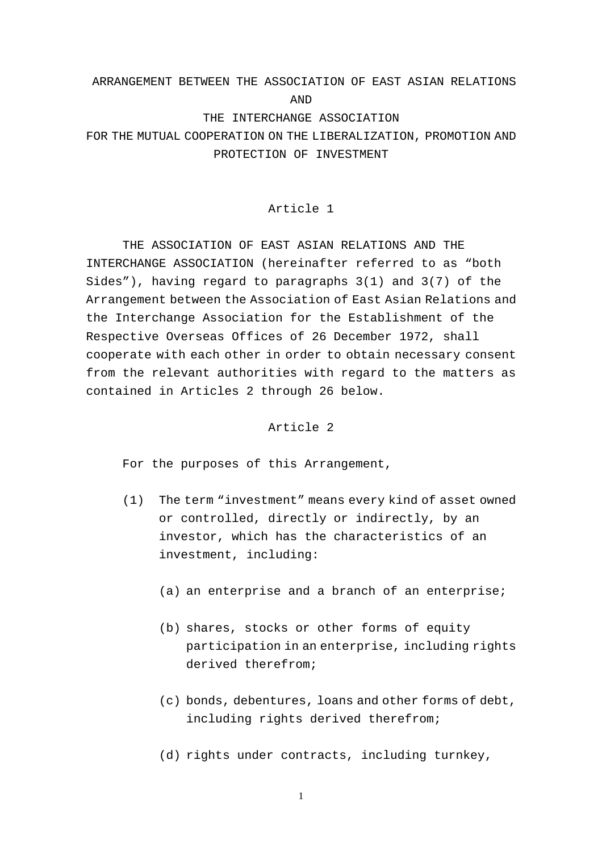# ARRANGEMENT BETWEEN THE ASSOCIATION OF EAST ASIAN RELATIONS AND THE INTERCHANGE ASSOCIATION FOR THE MUTUAL COOPERATION ON THE LIBERALIZATION, PROMOTION AND

# PROTECTION OF INVESTMENT

## Article 1

THE ASSOCIATION OF EAST ASIAN RELATIONS AND THE INTERCHANGE ASSOCIATION (hereinafter referred to as "both Sides"), having regard to paragraphs 3(1) and 3(7) of the Arrangement between the Association of East Asian Relations and the Interchange Association for the Establishment of the Respective Overseas Offices of 26 December 1972, shall cooperate with each other in order to obtain necessary consent from the relevant authorities with regard to the matters as contained in Articles 2 through 26 below.

#### Article 2

For the purposes of this Arrangement,

- (1) The term "investment" means every kind of asset owned or controlled, directly or indirectly, by an investor, which has the characteristics of an investment, including:
	- (a) an enterprise and a branch of an enterprise;
	- (b) shares, stocks or other forms of equity participation in an enterprise, including rights derived therefrom;
	- (c) bonds, debentures, loans and other forms of debt, including rights derived therefrom;
	- (d) rights under contracts, including turnkey,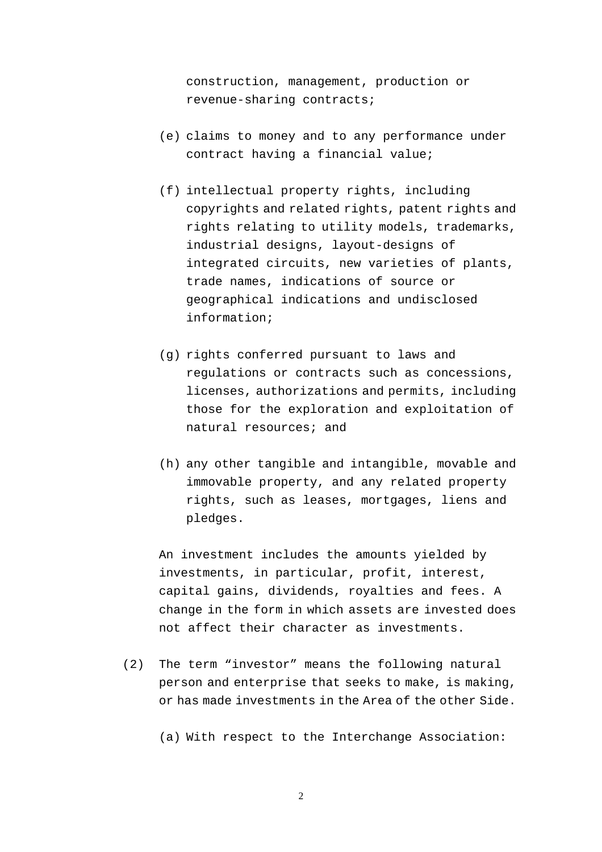construction, management, production or revenue-sharing contracts;

- (e) claims to money and to any performance under contract having a financial value;
- (f) intellectual property rights, including copyrights and related rights, patent rights and rights relating to utility models, trademarks, industrial designs, layout-designs of integrated circuits, new varieties of plants, trade names, indications of source or geographical indications and undisclosed information;
- (g) rights conferred pursuant to laws and regulations or contracts such as concessions, licenses, authorizations and permits, including those for the exploration and exploitation of natural resources; and
- (h) any other tangible and intangible, movable and immovable property, and any related property rights, such as leases, mortgages, liens and pledges.

An investment includes the amounts yielded by investments, in particular, profit, interest, capital gains, dividends, royalties and fees. A change in the form in which assets are invested does not affect their character as investments.

(2) The term "investor" means the following natural person and enterprise that seeks to make, is making, or has made investments in the Area of the other Side.

(a) With respect to the Interchange Association: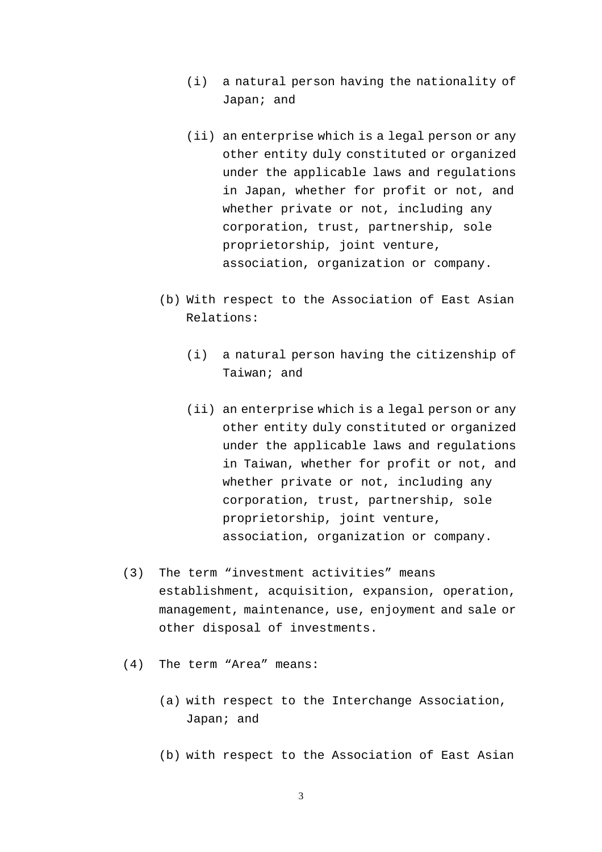- (i) a natural person having the nationality of Japan; and
- (ii) an enterprise which is a legal person or any other entity duly constituted or organized under the applicable laws and regulations in Japan, whether for profit or not, and whether private or not, including any corporation, trust, partnership, sole proprietorship, joint venture, association, organization or company.
- (b) With respect to the Association of East Asian Relations:
	- (i) a natural person having the citizenship of Taiwan; and
	- (ii) an enterprise which is a legal person or any other entity duly constituted or organized under the applicable laws and regulations in Taiwan, whether for profit or not, and whether private or not, including any corporation, trust, partnership, sole proprietorship, joint venture, association, organization or company.
- (3) The term "investment activities" means establishment, acquisition, expansion, operation, management, maintenance, use, enjoyment and sale or other disposal of investments.
- (4) The term "Area" means:
	- (a) with respect to the Interchange Association, Japan; and
	- (b) with respect to the Association of East Asian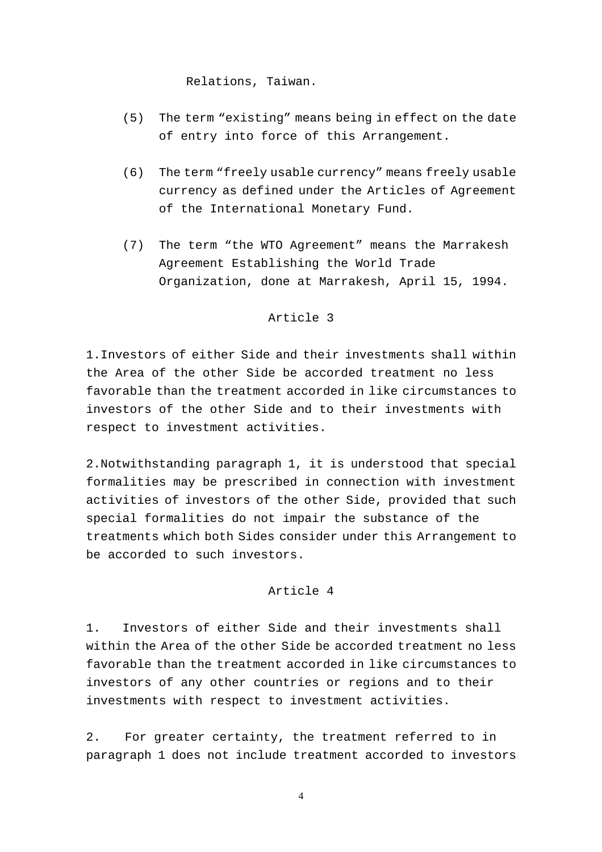Relations, Taiwan.

- (5) The term "existing" means being in effect on the date of entry into force of this Arrangement.
- (6) The term "freely usable currency" means freely usable currency as defined under the Articles of Agreement of the International Monetary Fund.
- (7) The term "the WTO Agreement" means the Marrakesh Agreement Establishing the World Trade Organization, done at Marrakesh, April 15, 1994.

#### Article 3

1.Investors of either Side and their investments shall within the Area of the other Side be accorded treatment no less favorable than the treatment accorded in like circumstances to investors of the other Side and to their investments with respect to investment activities.

2.Notwithstanding paragraph 1, it is understood that special formalities may be prescribed in connection with investment activities of investors of the other Side, provided that such special formalities do not impair the substance of the treatments which both Sides consider under this Arrangement to be accorded to such investors.

# Article 4

1. Investors of either Side and their investments shall within the Area of the other Side be accorded treatment no less favorable than the treatment accorded in like circumstances to investors of any other countries or regions and to their investments with respect to investment activities.

2. For greater certainty, the treatment referred to in paragraph 1 does not include treatment accorded to investors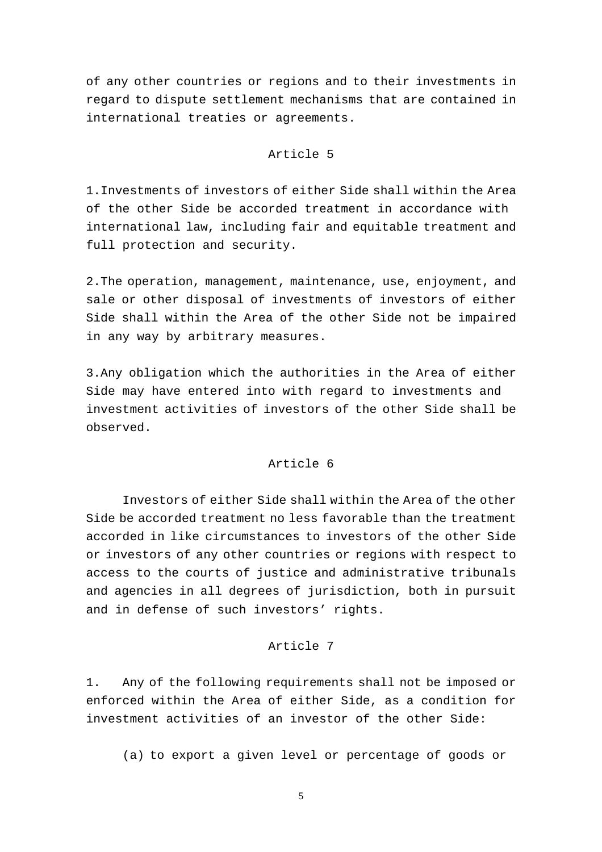of any other countries or regions and to their investments in regard to dispute settlement mechanisms that are contained in international treaties or agreements.

#### Article 5

1.Investments of investors of either Side shall within the Area of the other Side be accorded treatment in accordance with international law, including fair and equitable treatment and full protection and security.

2.The operation, management, maintenance, use, enjoyment, and sale or other disposal of investments of investors of either Side shall within the Area of the other Side not be impaired in any way by arbitrary measures.

3.Any obligation which the authorities in the Area of either Side may have entered into with regard to investments and investment activities of investors of the other Side shall be observed.

## Article 6

 Investors of either Side shall within the Area of the other Side be accorded treatment no less favorable than the treatment accorded in like circumstances to investors of the other Side or investors of any other countries or regions with respect to access to the courts of justice and administrative tribunals and agencies in all degrees of jurisdiction, both in pursuit and in defense of such investors' rights.

#### Article 7

1. Any of the following requirements shall not be imposed or enforced within the Area of either Side, as a condition for investment activities of an investor of the other Side:

(a) to export a given level or percentage of goods or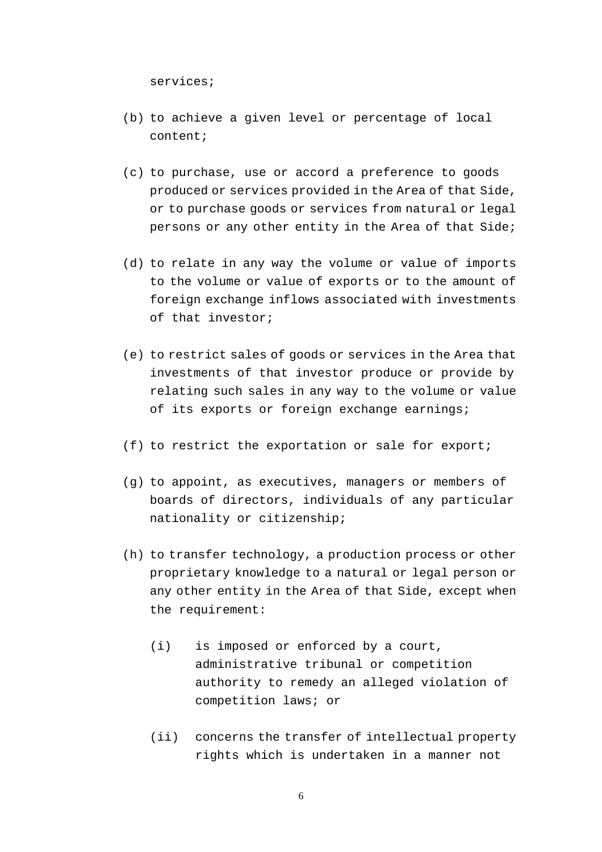services;

- (b) to achieve a given level or percentage of local content;
- (c) to purchase, use or accord a preference to goods produced or services provided in the Area of that Side, or to purchase goods or services from natural or legal persons or any other entity in the Area of that Side;
- (d) to relate in any way the volume or value of imports to the volume or value of exports or to the amount of foreign exchange inflows associated with investments of that investor;
- (e) to restrict sales of goods or services in the Area that investments of that investor produce or provide by relating such sales in any way to the volume or value of its exports or foreign exchange earnings;
- (f) to restrict the exportation or sale for export;
- (g) to appoint, as executives, managers or members of boards of directors, individuals of any particular nationality or citizenship;
- (h) to transfer technology, a production process or other proprietary knowledge to a natural or legal person or any other entity in the Area of that Side, except when the requirement:
	- (i) is imposed or enforced by a court, administrative tribunal or competition authority to remedy an alleged violation of competition laws; or
	- (ii) concerns the transfer of intellectual property rights which is undertaken in a manner not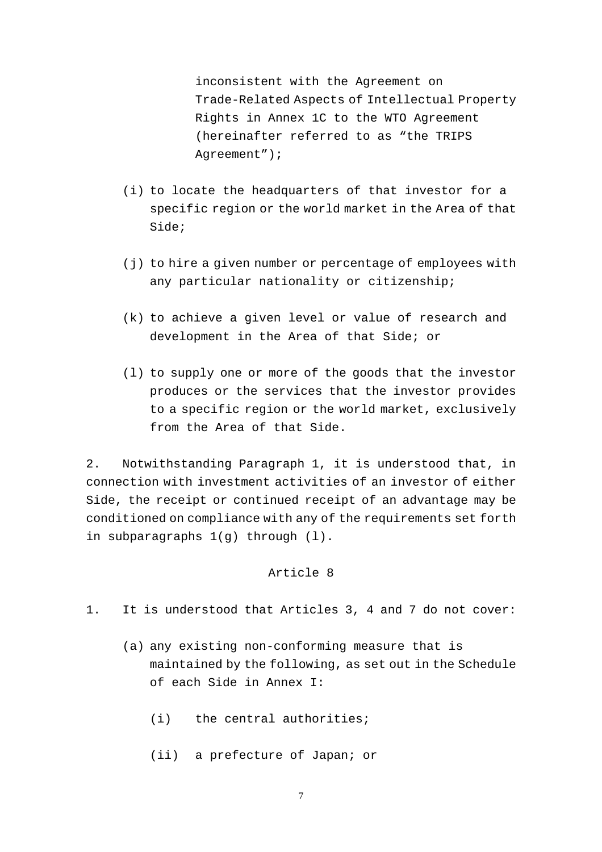inconsistent with the Agreement on Trade-Related Aspects of Intellectual Property Rights in Annex 1C to the WTO Agreement (hereinafter referred to as "the TRIPS Agreement");

- (i) to locate the headquarters of that investor for a specific region or the world market in the Area of that Side;
- (j) to hire a given number or percentage of employees with any particular nationality or citizenship;
- (k) to achieve a given level or value of research and development in the Area of that Side; or
- (l) to supply one or more of the goods that the investor produces or the services that the investor provides to a specific region or the world market, exclusively from the Area of that Side.

2. Notwithstanding Paragraph 1, it is understood that, in connection with investment activities of an investor of either Side, the receipt or continued receipt of an advantage may be conditioned on compliance with any of the requirements set forth in subparagraphs 1(g) through (l).

## Article 8

- 1. It is understood that Articles 3, 4 and 7 do not cover:
	- (a) any existing non-conforming measure that is maintained by the following, as set out in the Schedule of each Side in Annex I:
		- (i) the central authorities;
		- (ii) a prefecture of Japan; or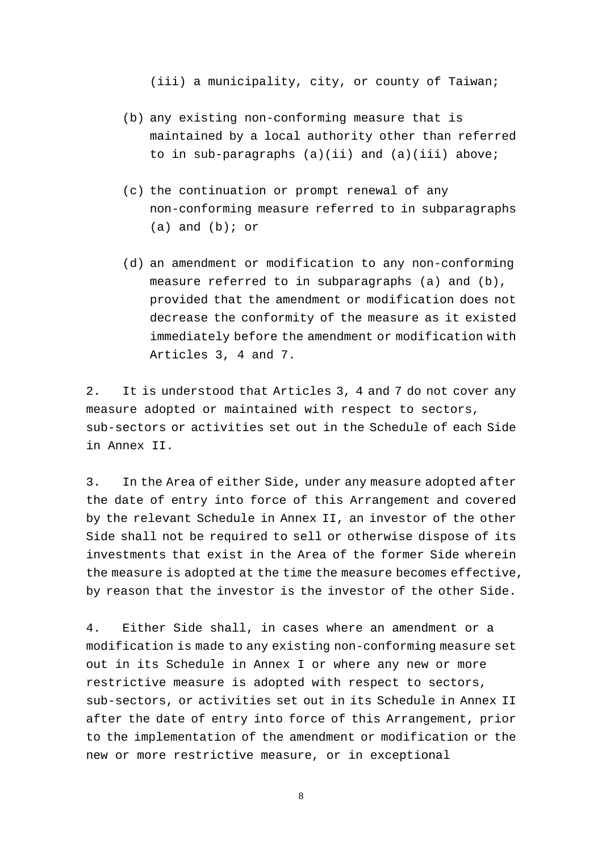(iii) a municipality, city, or county of Taiwan;

- (b) any existing non-conforming measure that is maintained by a local authority other than referred to in sub-paragraphs  $(a)(ii)$  and  $(a)(iii)$  above;
- (c) the continuation or prompt renewal of any non-conforming measure referred to in subparagraphs  $(a)$  and  $(b)$ ; or
- (d) an amendment or modification to any non-conforming measure referred to in subparagraphs (a) and (b), provided that the amendment or modification does not decrease the conformity of the measure as it existed immediately before the amendment or modification with Articles 3, 4 and 7.

2. It is understood that Articles 3, 4 and 7 do not cover any measure adopted or maintained with respect to sectors, sub-sectors or activities set out in the Schedule of each Side in Annex II.

3. In the Area of either Side, under any measure adopted after the date of entry into force of this Arrangement and covered by the relevant Schedule in Annex II, an investor of the other Side shall not be required to sell or otherwise dispose of its investments that exist in the Area of the former Side wherein the measure is adopted at the time the measure becomes effective, by reason that the investor is the investor of the other Side.

4. Either Side shall, in cases where an amendment or a modification is made to any existing non-conforming measure set out in its Schedule in Annex I or where any new or more restrictive measure is adopted with respect to sectors, sub-sectors, or activities set out in its Schedule in Annex II after the date of entry into force of this Arrangement, prior to the implementation of the amendment or modification or the new or more restrictive measure, or in exceptional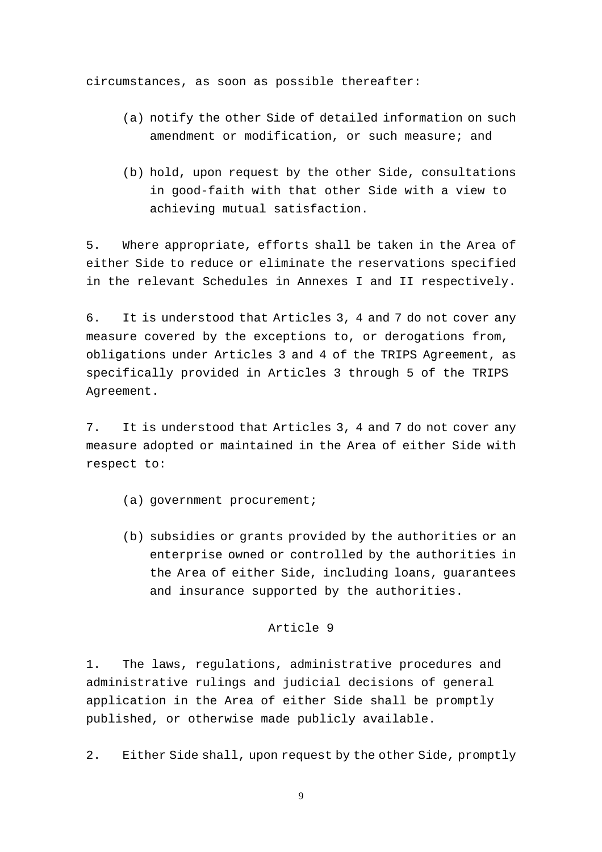circumstances, as soon as possible thereafter:

- (a) notify the other Side of detailed information on such amendment or modification, or such measure; and
- (b) hold, upon request by the other Side, consultations in good-faith with that other Side with a view to achieving mutual satisfaction.

5. Where appropriate, efforts shall be taken in the Area of either Side to reduce or eliminate the reservations specified in the relevant Schedules in Annexes I and II respectively.

6. It is understood that Articles 3, 4 and 7 do not cover any measure covered by the exceptions to, or derogations from, obligations under Articles 3 and 4 of the TRIPS Agreement, as specifically provided in Articles 3 through 5 of the TRIPS Agreement.

7. It is understood that Articles 3, 4 and 7 do not cover any measure adopted or maintained in the Area of either Side with respect to:

- (a) government procurement;
- (b) subsidies or grants provided by the authorities or an enterprise owned or controlled by the authorities in the Area of either Side, including loans, guarantees and insurance supported by the authorities.

# Article 9

1. The laws, regulations, administrative procedures and administrative rulings and judicial decisions of general application in the Area of either Side shall be promptly published, or otherwise made publicly available.

2. Either Side shall, upon request by the other Side, promptly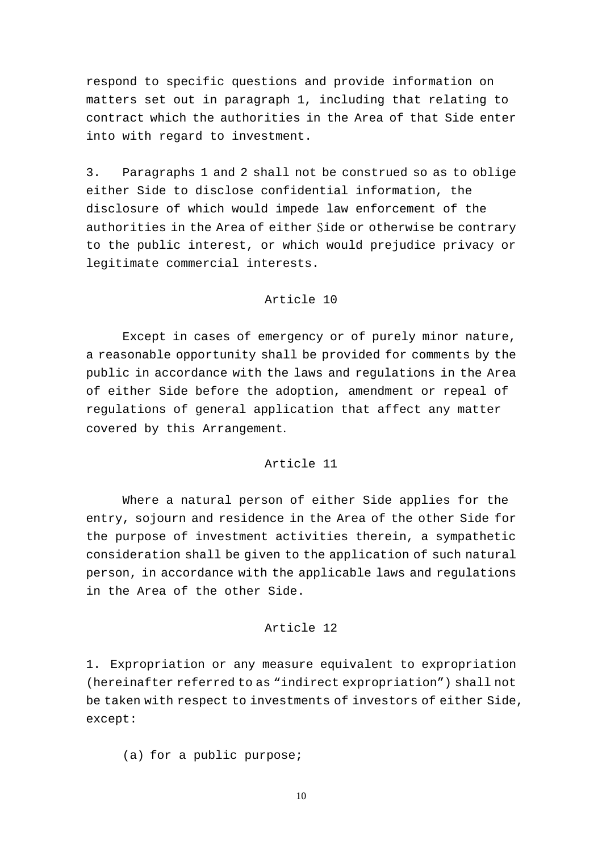respond to specific questions and provide information on matters set out in paragraph 1, including that relating to contract which the authorities in the Area of that Side enter into with regard to investment.

3. Paragraphs 1 and 2 shall not be construed so as to oblige either Side to disclose confidential information, the disclosure of which would impede law enforcement of the authorities in the Area of either Side or otherwise be contrary to the public interest, or which would prejudice privacy or legitimate commercial interests.

## Article 10

Except in cases of emergency or of purely minor nature, a reasonable opportunity shall be provided for comments by the public in accordance with the laws and regulations in the Area of either Side before the adoption, amendment or repeal of regulations of general application that affect any matter covered by this Arrangement.

## Article 11

 Where a natural person of either Side applies for the entry, sojourn and residence in the Area of the other Side for the purpose of investment activities therein, a sympathetic consideration shall be given to the application of such natural person, in accordance with the applicable laws and regulations in the Area of the other Side.

## Article 12

1. Expropriation or any measure equivalent to expropriation (hereinafter referred to as "indirect expropriation") shall not be taken with respect to investments of investors of either Side, except:

(a) for a public purpose;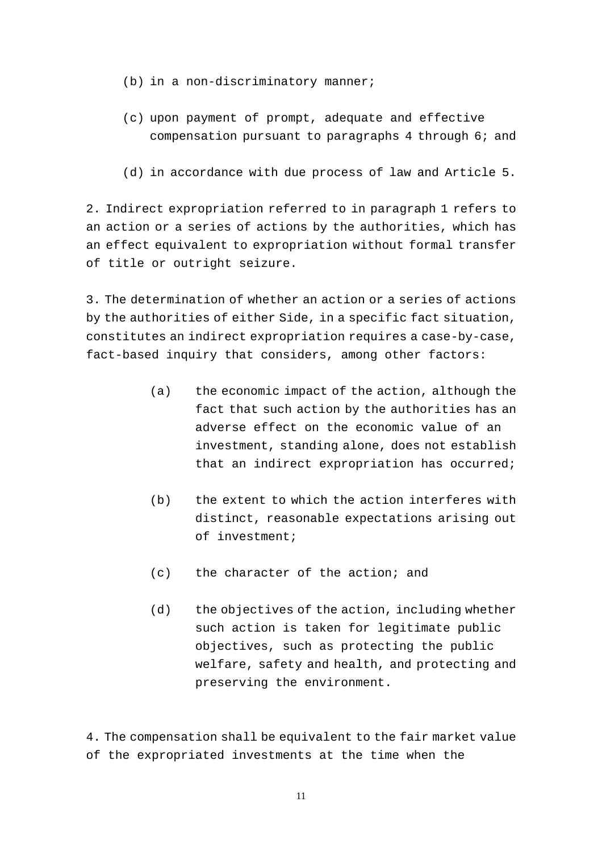- (b) in a non-discriminatory manner;
- (c) upon payment of prompt, adequate and effective compensation pursuant to paragraphs 4 through 6; and
- (d) in accordance with due process of law and Article 5.

2. Indirect expropriation referred to in paragraph 1 refers to an action or a series of actions by the authorities, which has an effect equivalent to expropriation without formal transfer of title or outright seizure.

3. The determination of whether an action or a series of actions by the authorities of either Side, in a specific fact situation, constitutes an indirect expropriation requires a case-by-case, fact-based inquiry that considers, among other factors:

- (a) the economic impact of the action, although the fact that such action by the authorities has an adverse effect on the economic value of an investment, standing alone, does not establish that an indirect expropriation has occurred;
- (b) the extent to which the action interferes with distinct, reasonable expectations arising out of investment;
- (c) the character of the action; and
- (d) the objectives of the action, including whether such action is taken for legitimate public objectives, such as protecting the public welfare, safety and health, and protecting and preserving the environment.

4. The compensation shall be equivalent to the fair market value of the expropriated investments at the time when the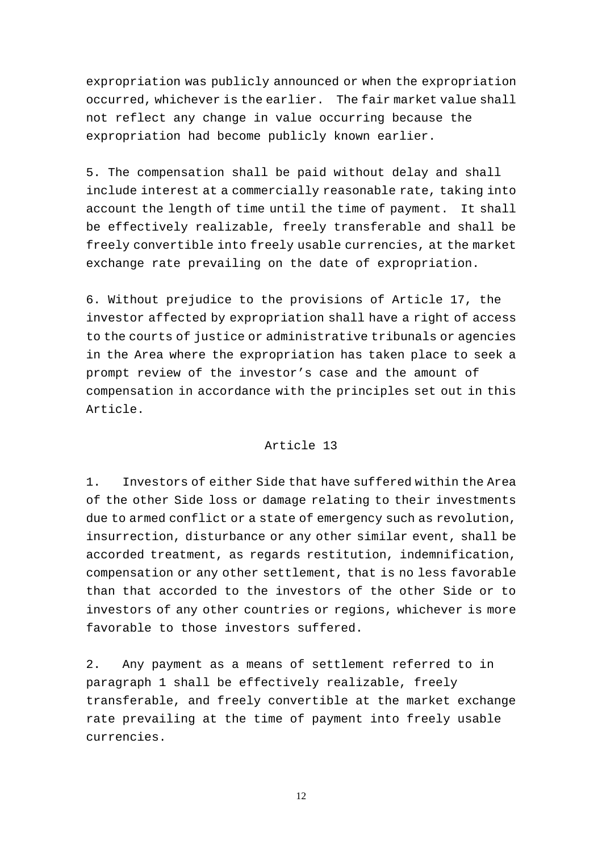expropriation was publicly announced or when the expropriation occurred, whichever is the earlier. The fair market value shall not reflect any change in value occurring because the expropriation had become publicly known earlier.

5. The compensation shall be paid without delay and shall include interest at a commercially reasonable rate, taking into account the length of time until the time of payment. It shall be effectively realizable, freely transferable and shall be freely convertible into freely usable currencies, at the market exchange rate prevailing on the date of expropriation.

6. Without prejudice to the provisions of Article 17, the investor affected by expropriation shall have a right of access to the courts of justice or administrative tribunals or agencies in the Area where the expropriation has taken place to seek a prompt review of the investor's case and the amount of compensation in accordance with the principles set out in this Article.

#### Article 13

1. Investors of either Side that have suffered within the Area of the other Side loss or damage relating to their investments due to armed conflict or a state of emergency such as revolution, insurrection, disturbance or any other similar event, shall be accorded treatment, as regards restitution, indemnification, compensation or any other settlement, that is no less favorable than that accorded to the investors of the other Side or to investors of any other countries or regions, whichever is more favorable to those investors suffered.

2. Any payment as a means of settlement referred to in paragraph 1 shall be effectively realizable, freely transferable, and freely convertible at the market exchange rate prevailing at the time of payment into freely usable currencies.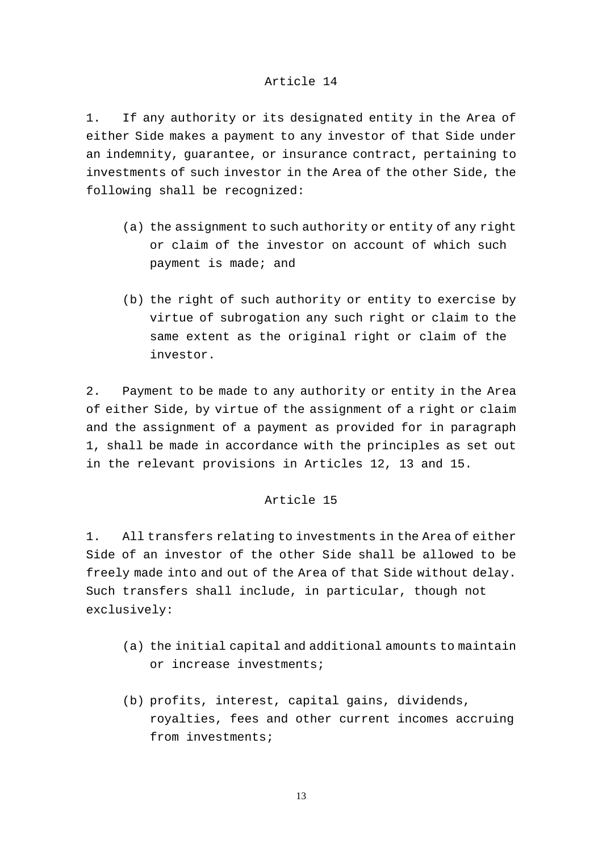#### Article 14

1. If any authority or its designated entity in the Area of either Side makes a payment to any investor of that Side under an indemnity, guarantee, or insurance contract, pertaining to investments of such investor in the Area of the other Side, the following shall be recognized:

- (a) the assignment to such authority or entity of any right or claim of the investor on account of which such payment is made; and
- (b) the right of such authority or entity to exercise by virtue of subrogation any such right or claim to the same extent as the original right or claim of the investor.

2. Payment to be made to any authority or entity in the Area of either Side, by virtue of the assignment of a right or claim and the assignment of a payment as provided for in paragraph 1, shall be made in accordance with the principles as set out in the relevant provisions in Articles 12, 13 and 15.

#### Article 15

1. All transfers relating to investments in the Area of either Side of an investor of the other Side shall be allowed to be freely made into and out of the Area of that Side without delay. Such transfers shall include, in particular, though not exclusively:

- (a) the initial capital and additional amounts to maintain or increase investments;
- (b) profits, interest, capital gains, dividends, royalties, fees and other current incomes accruing from investments;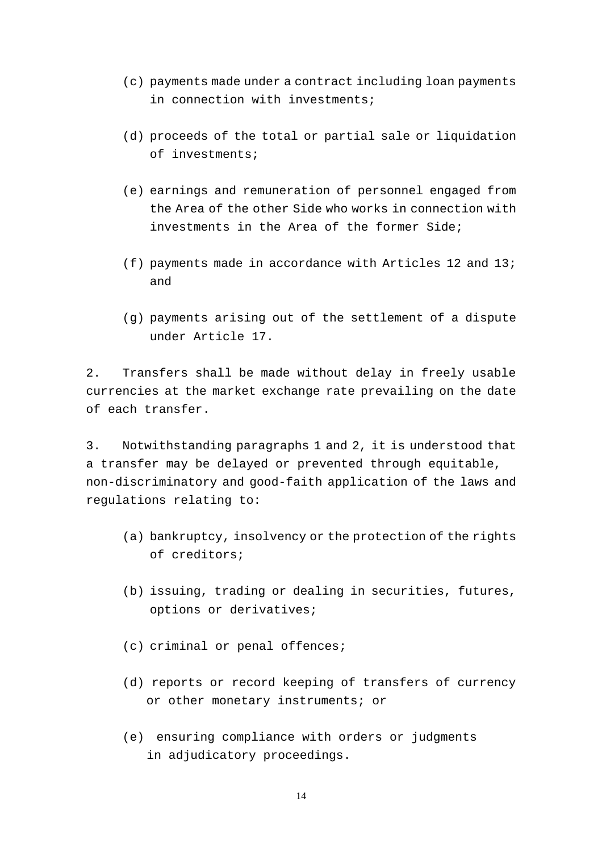- (c) payments made under a contract including loan payments in connection with investments;
- (d) proceeds of the total or partial sale or liquidation of investments;
- (e) earnings and remuneration of personnel engaged from the Area of the other Side who works in connection with investments in the Area of the former Side;
- (f) payments made in accordance with Articles 12 and 13; and
- (g) payments arising out of the settlement of a dispute under Article 17.

2. Transfers shall be made without delay in freely usable currencies at the market exchange rate prevailing on the date of each transfer.

3. Notwithstanding paragraphs 1 and 2, it is understood that a transfer may be delayed or prevented through equitable, non-discriminatory and good-faith application of the laws and regulations relating to:

- (a) bankruptcy, insolvency or the protection of the rights of creditors;
- (b) issuing, trading or dealing in securities, futures, options or derivatives;
- (c) criminal or penal offences;
- (d) reports or record keeping of transfers of currency or other monetary instruments; or
- (e) ensuring compliance with orders or judgments in adjudicatory proceedings.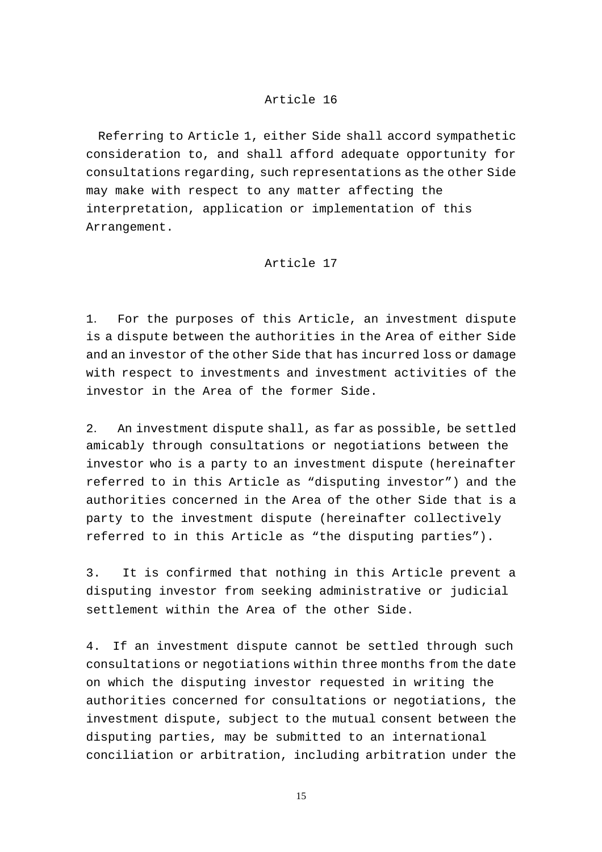#### Article 16

Referring to Article 1, either Side shall accord sympathetic consideration to, and shall afford adequate opportunity for consultations regarding, such representations as the other Side may make with respect to any matter affecting the interpretation, application or implementation of this Arrangement.

#### Article 17

1. For the purposes of this Article, an investment dispute is a dispute between the authorities in the Area of either Side and an investor of the other Side that has incurred loss or damage with respect to investments and investment activities of the investor in the Area of the former Side.

2. An investment dispute shall, as far as possible, be settled amicably through consultations or negotiations between the investor who is a party to an investment dispute (hereinafter referred to in this Article as "disputing investor") and the authorities concerned in the Area of the other Side that is a party to the investment dispute (hereinafter collectively referred to in this Article as "the disputing parties").

3. It is confirmed that nothing in this Article prevent a disputing investor from seeking administrative or judicial settlement within the Area of the other Side.

4. If an investment dispute cannot be settled through such consultations or negotiations within three months from the date on which the disputing investor requested in writing the authorities concerned for consultations or negotiations, the investment dispute, subject to the mutual consent between the disputing parties, may be submitted to an international conciliation or arbitration, including arbitration under the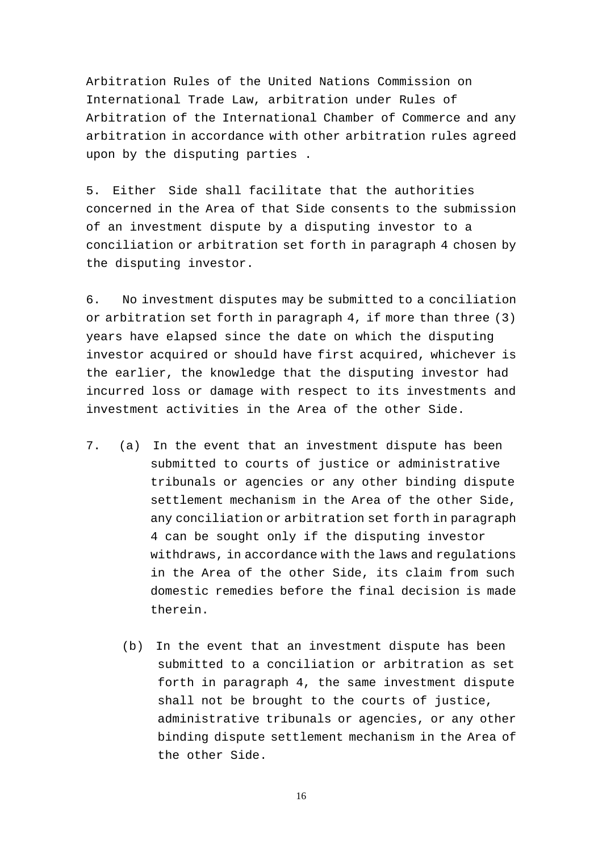Arbitration Rules of the United Nations Commission on International Trade Law, arbitration under Rules of Arbitration of the International Chamber of Commerce and any arbitration in accordance with other arbitration rules agreed upon by the disputing parties .

5. Either Side shall facilitate that the authorities concerned in the Area of that Side consents to the submission of an investment dispute by a disputing investor to a conciliation or arbitration set forth in paragraph 4 chosen by the disputing investor.

6. No investment disputes may be submitted to a conciliation or arbitration set forth in paragraph 4, if more than three (3) years have elapsed since the date on which the disputing investor acquired or should have first acquired, whichever is the earlier, the knowledge that the disputing investor had incurred loss or damage with respect to its investments and investment activities in the Area of the other Side.

- 7. (a) In the event that an investment dispute has been submitted to courts of justice or administrative tribunals or agencies or any other binding dispute settlement mechanism in the Area of the other Side, any conciliation or arbitration set forth in paragraph 4 can be sought only if the disputing investor withdraws, in accordance with the laws and regulations in the Area of the other Side, its claim from such domestic remedies before the final decision is made therein.
	- (b) In the event that an investment dispute has been submitted to a conciliation or arbitration as set forth in paragraph 4, the same investment dispute shall not be brought to the courts of justice, administrative tribunals or agencies, or any other binding dispute settlement mechanism in the Area of the other Side.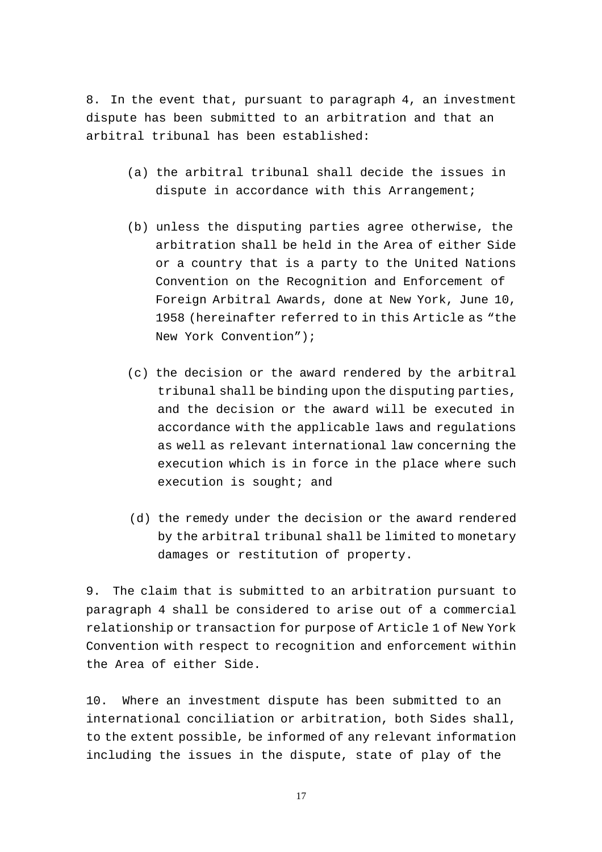8. In the event that, pursuant to paragraph 4, an investment dispute has been submitted to an arbitration and that an arbitral tribunal has been established:

- (a) the arbitral tribunal shall decide the issues in dispute in accordance with this Arrangement;
- (b) unless the disputing parties agree otherwise, the arbitration shall be held in the Area of either Side or a country that is a party to the United Nations Convention on the Recognition and Enforcement of Foreign Arbitral Awards, done at New York, June 10, 1958 (hereinafter referred to in this Article as "the New York Convention");
- (c) the decision or the award rendered by the arbitral tribunal shall be binding upon the disputing parties, and the decision or the award will be executed in accordance with the applicable laws and regulations as well as relevant international law concerning the execution which is in force in the place where such execution is sought; and
- (d) the remedy under the decision or the award rendered by the arbitral tribunal shall be limited to monetary damages or restitution of property.

9. The claim that is submitted to an arbitration pursuant to paragraph 4 shall be considered to arise out of a commercial relationship or transaction for purpose of Article 1 of New York Convention with respect to recognition and enforcement within the Area of either Side.

10. Where an investment dispute has been submitted to an international conciliation or arbitration, both Sides shall, to the extent possible, be informed of any relevant information including the issues in the dispute, state of play of the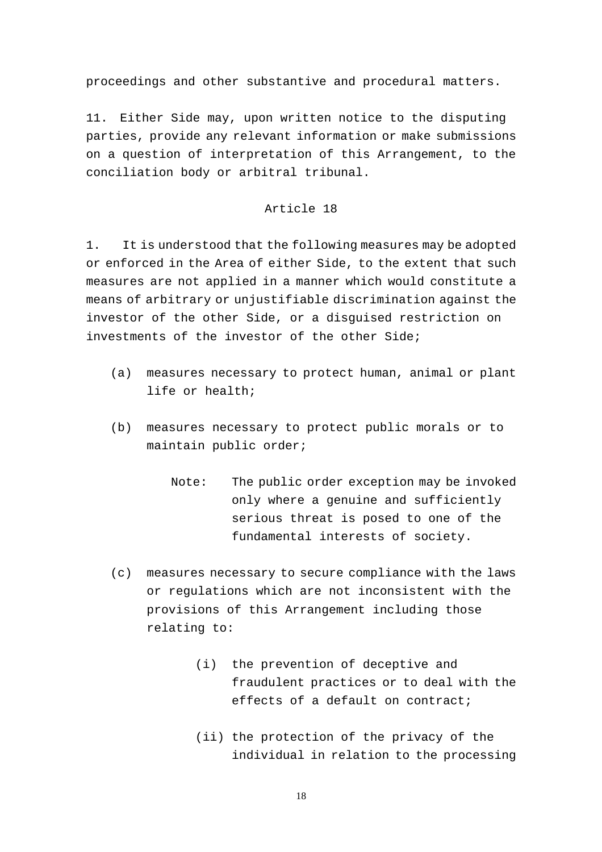proceedings and other substantive and procedural matters.

11. Either Side may, upon written notice to the disputing parties, provide any relevant information or make submissions on a question of interpretation of this Arrangement, to the conciliation body or arbitral tribunal.

#### Article 18

1. It is understood that the following measures may be adopted or enforced in the Area of either Side, to the extent that such measures are not applied in a manner which would constitute a means of arbitrary or unjustifiable discrimination against the investor of the other Side, or a disguised restriction on investments of the investor of the other Side;

- (a) measures necessary to protect human, animal or plant life or health;
- (b) measures necessary to protect public morals or to maintain public order;
	- Note: The public order exception may be invoked only where a genuine and sufficiently serious threat is posed to one of the fundamental interests of society.
- (c) measures necessary to secure compliance with the laws or regulations which are not inconsistent with the provisions of this Arrangement including those relating to:
	- (i) the prevention of deceptive and fraudulent practices or to deal with the effects of a default on contract;
	- (ii) the protection of the privacy of the individual in relation to the processing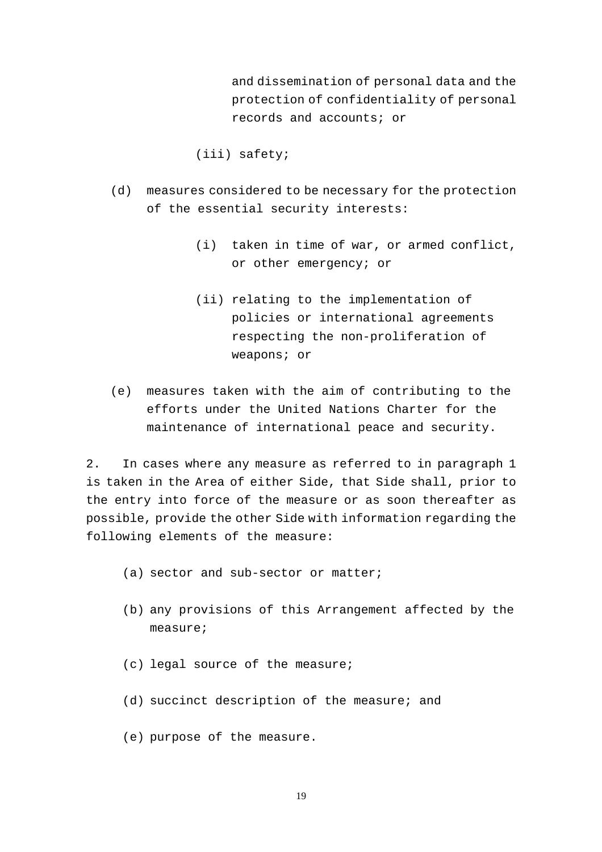and dissemination of personal data and the protection of confidentiality of personal records and accounts; or

(iii) safety;

- (d) measures considered to be necessary for the protection of the essential security interests:
	- (i) taken in time of war, or armed conflict, or other emergency; or
	- (ii) relating to the implementation of policies or international agreements respecting the non-proliferation of weapons; or
- (e) measures taken with the aim of contributing to the efforts under the United Nations Charter for the maintenance of international peace and security.

2. In cases where any measure as referred to in paragraph 1 is taken in the Area of either Side, that Side shall, prior to the entry into force of the measure or as soon thereafter as possible, provide the other Side with information regarding the following elements of the measure:

- (a) sector and sub-sector or matter;
- (b) any provisions of this Arrangement affected by the measure;
- (c) legal source of the measure;
- (d) succinct description of the measure; and
- (e) purpose of the measure.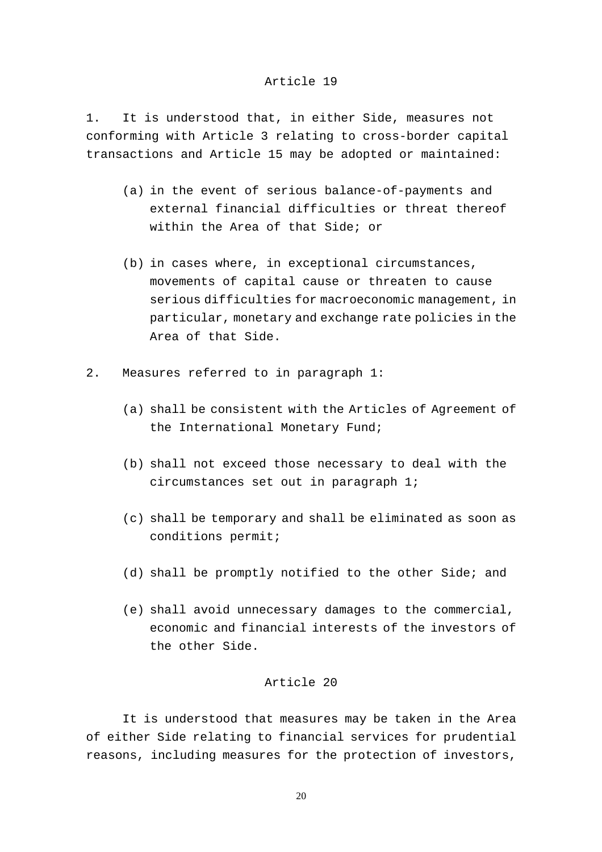#### Article 19

1. It is understood that, in either Side, measures not conforming with Article 3 relating to cross-border capital transactions and Article 15 may be adopted or maintained:

- (a) in the event of serious balance-of-payments and external financial difficulties or threat thereof within the Area of that Side; or
- (b) in cases where, in exceptional circumstances, movements of capital cause or threaten to cause serious difficulties for macroeconomic management, in particular, monetary and exchange rate policies in the Area of that Side.
- 2. Measures referred to in paragraph 1:
	- (a) shall be consistent with the Articles of Agreement of the International Monetary Fund;
	- (b) shall not exceed those necessary to deal with the circumstances set out in paragraph 1;
	- (c) shall be temporary and shall be eliminated as soon as conditions permit;
	- (d) shall be promptly notified to the other Side; and
	- (e) shall avoid unnecessary damages to the commercial, economic and financial interests of the investors of the other Side.

## Article 20

It is understood that measures may be taken in the Area of either Side relating to financial services for prudential reasons, including measures for the protection of investors,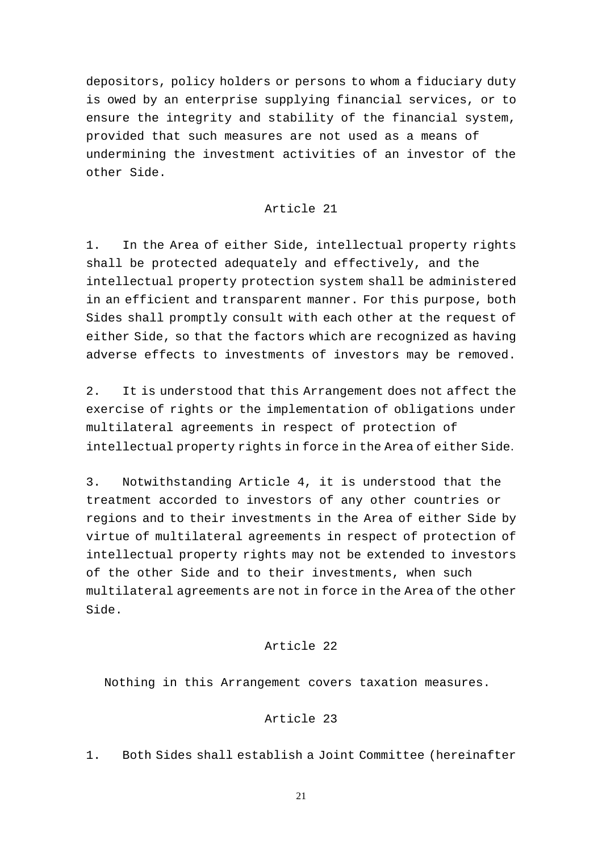depositors, policy holders or persons to whom a fiduciary duty is owed by an enterprise supplying financial services, or to ensure the integrity and stability of the financial system, provided that such measures are not used as a means of undermining the investment activities of an investor of the other Side.

#### Article 21

1. In the Area of either Side, intellectual property rights shall be protected adequately and effectively, and the intellectual property protection system shall be administered in an efficient and transparent manner. For this purpose, both Sides shall promptly consult with each other at the request of either Side, so that the factors which are recognized as having adverse effects to investments of investors may be removed.

2. It is understood that this Arrangement does not affect the exercise of rights or the implementation of obligations under multilateral agreements in respect of protection of intellectual property rights in force in the Area of either Side.

3. Notwithstanding Article 4, it is understood that the treatment accorded to investors of any other countries or regions and to their investments in the Area of either Side by virtue of multilateral agreements in respect of protection of intellectual property rights may not be extended to investors of the other Side and to their investments, when such multilateral agreements are not in force in the Area of the other Side.

#### Article 22

Nothing in this Arrangement covers taxation measures.

## Article 23

1. Both Sides shall establish a Joint Committee (hereinafter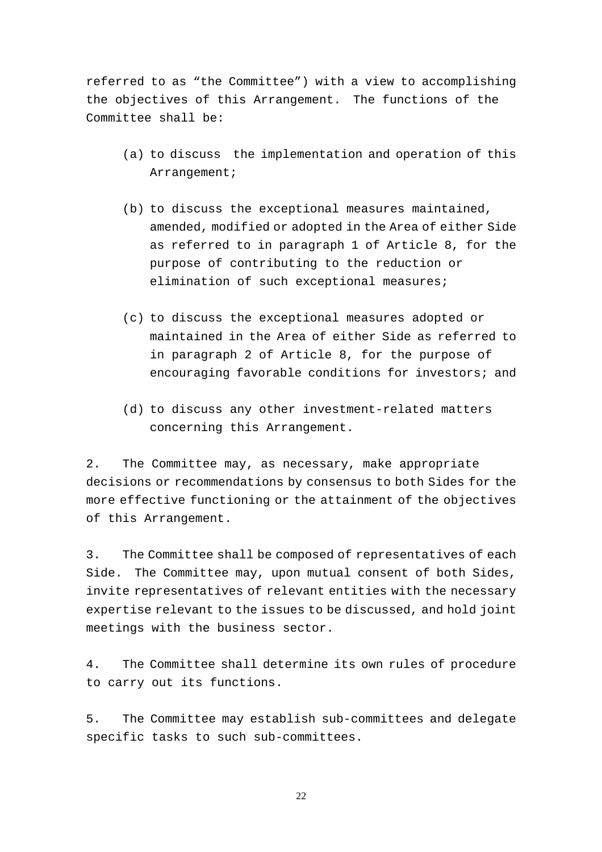referred to as "the Committee") with a view to accomplishing the objectives of this Arrangement. The functions of the Committee shall be:

- (a) to discuss the implementation and operation of this Arrangement;
- (b) to discuss the exceptional measures maintained, amended, modified or adopted in the Area of either Side as referred to in paragraph 1 of Article 8, for the purpose of contributing to the reduction or elimination of such exceptional measures;
- (c) to discuss the exceptional measures adopted or maintained in the Area of either Side as referred to in paragraph 2 of Article 8, for the purpose of encouraging favorable conditions for investors; and
- (d) to discuss any other investment-related matters concerning this Arrangement.

2. The Committee may, as necessary, make appropriate decisions or recommendations by consensus to both Sides for the more effective functioning or the attainment of the objectives of this Arrangement.

3. The Committee shall be composed of representatives of each Side. The Committee may, upon mutual consent of both Sides, invite representatives of relevant entities with the necessary expertise relevant to the issues to be discussed, and hold joint meetings with the business sector.

4. The Committee shall determine its own rules of procedure to carry out its functions.

5. The Committee may establish sub-committees and delegate specific tasks to such sub-committees.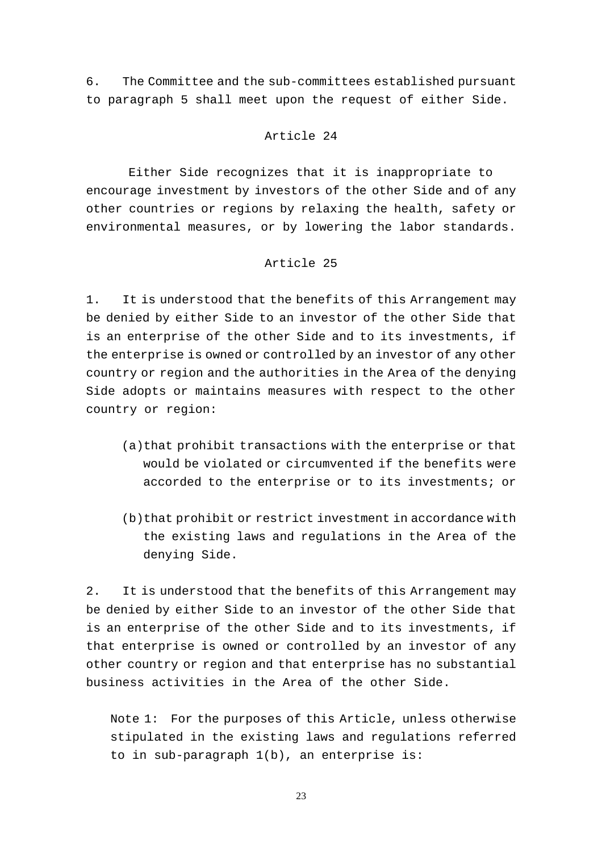6. The Committee and the sub-committees established pursuant to paragraph 5 shall meet upon the request of either Side.

#### Article 24

 Either Side recognizes that it is inappropriate to encourage investment by investors of the other Side and of any other countries or regions by relaxing the health, safety or environmental measures, or by lowering the labor standards.

# Article 25

1. It is understood that the benefits of this Arrangement may be denied by either Side to an investor of the other Side that is an enterprise of the other Side and to its investments, if the enterprise is owned or controlled by an investor of any other country or region and the authorities in the Area of the denying Side adopts or maintains measures with respect to the other country or region:

- (a)that prohibit transactions with the enterprise or that would be violated or circumvented if the benefits were accorded to the enterprise or to its investments; or
- (b)that prohibit or restrict investment in accordance with the existing laws and regulations in the Area of the denying Side.

2. It is understood that the benefits of this Arrangement may be denied by either Side to an investor of the other Side that is an enterprise of the other Side and to its investments, if that enterprise is owned or controlled by an investor of any other country or region and that enterprise has no substantial business activities in the Area of the other Side.

Note 1: For the purposes of this Article, unless otherwise stipulated in the existing laws and regulations referred to in sub-paragraph 1(b), an enterprise is: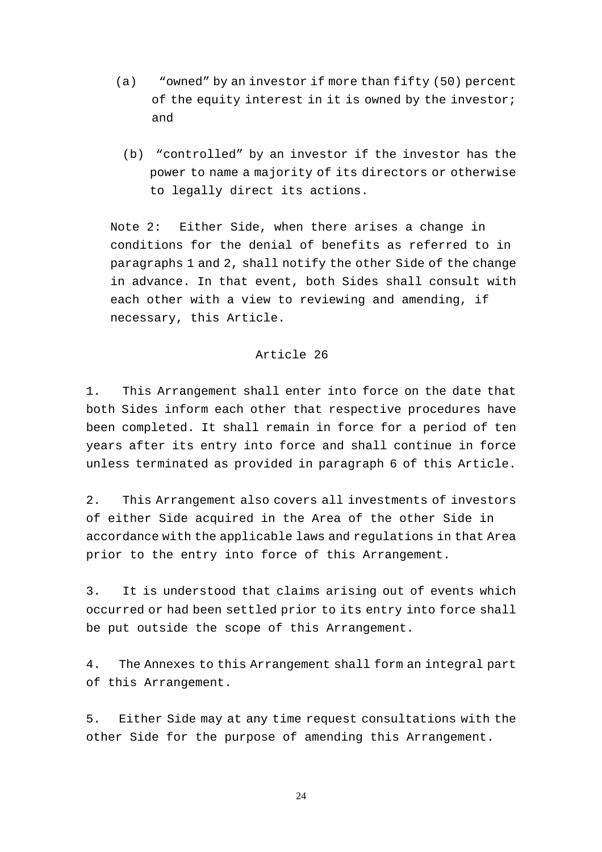- (a) "owned" by an investor if more than fifty (50) percent of the equity interest in it is owned by the investor; and
	- (b) "controlled" by an investor if the investor has the power to name a majority of its directors or otherwise to legally direct its actions.

Note 2: Either Side, when there arises a change in conditions for the denial of benefits as referred to in paragraphs 1 and 2, shall notify the other Side of the change in advance. In that event, both Sides shall consult with each other with a view to reviewing and amending, if necessary, this Article.

#### Article 26

1. This Arrangement shall enter into force on the date that both Sides inform each other that respective procedures have been completed. It shall remain in force for a period of ten years after its entry into force and shall continue in force unless terminated as provided in paragraph 6 of this Article.

2. This Arrangement also covers all investments of investors of either Side acquired in the Area of the other Side in accordance with the applicable laws and regulations in that Area prior to the entry into force of this Arrangement.

3. It is understood that claims arising out of events which occurred or had been settled prior to its entry into force shall be put outside the scope of this Arrangement.

4. The Annexes to this Arrangement shall form an integral part of this Arrangement.

5. Either Side may at any time request consultations with the other Side for the purpose of amending this Arrangement.